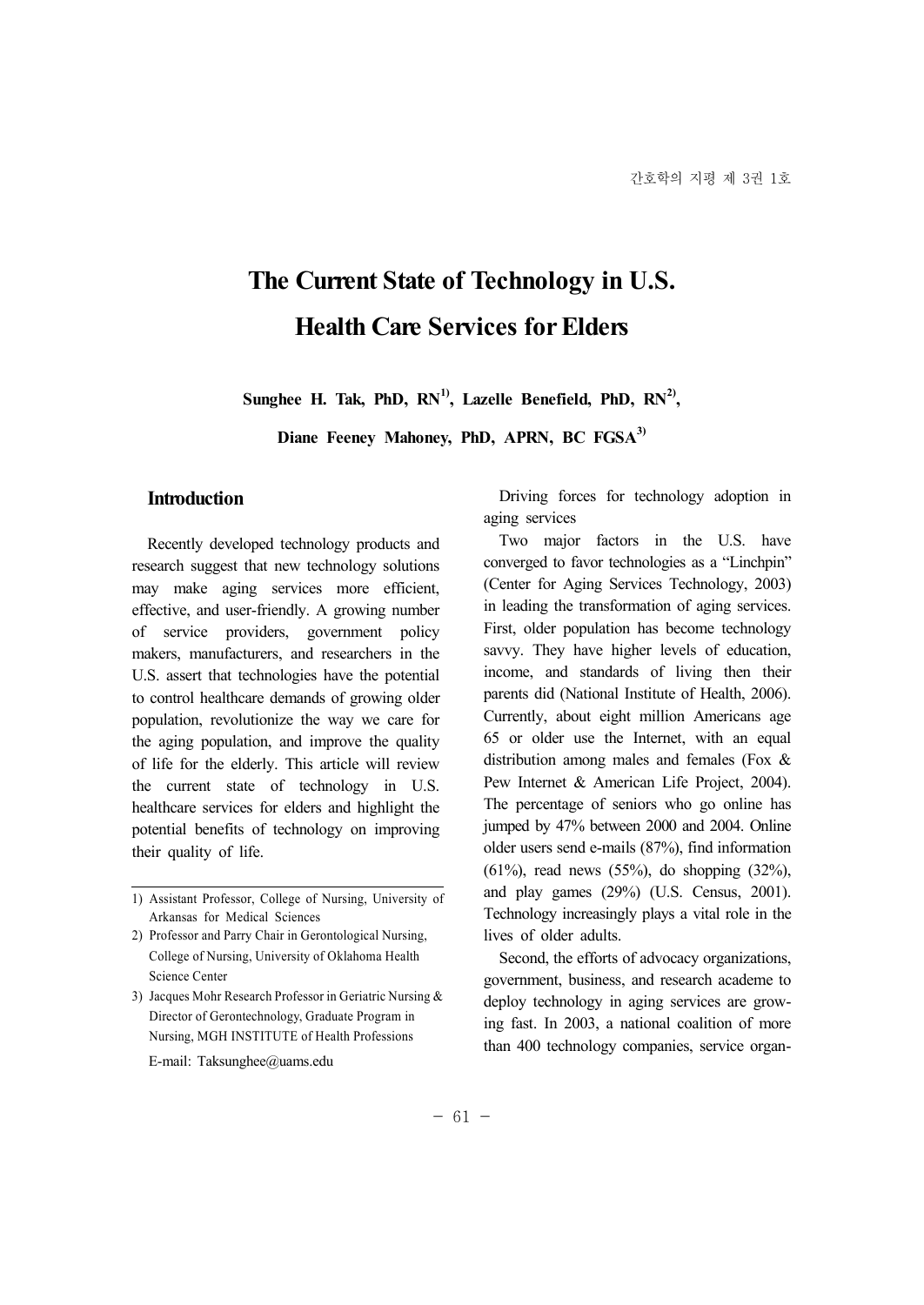# **The Current State of Technology in U.S. Health Care Services for Elders**

**Sunghee H. Tak, PhD, RN1), Lazelle Benefield, PhD, RN2),**

**Diane Feeney Mahoney, PhD, APRN, BC FGSA3)**

#### **Introduction**

Recently developed technology products and research suggest that new technology solutions may make aging services more efficient, effective, and user-friendly. A growing number of service providers, government policy makers, manufacturers, and researchers in the U.S. assert that technologies have the potential to control healthcare demands of growing older population, revolutionize the way we care for the aging population, and improve the quality of life for the elderly. This article will review the current state of technology in U.S. healthcare services for elders and highlight the potential benefits of technology on improving their quality of life.

- 2) Professor and Parry Chair in Gerontological Nursing, College of Nursing, University of Oklahoma Health Science Center
- 3) Jacques Mohr Research Professor in Geriatric Nursing & Director of Gerontechnology, Graduate Program in Nursing, MGH INSTITUTE of Health Professions
	- E-mail: Taksunghee@uams.edu

Driving forces for technology adoption in aging services

Two major factors in the U.S. have converged to favor technologies as a "Linchpin" (Center for Aging Services Technology, 2003) in leading the transformation of aging services. First, older population has become technology savvy. They have higher levels of education, income, and standards of living then their parents did (National Institute of Health, 2006). Currently, about eight million Americans age 65 or older use the Internet, with an equal distribution among males and females (Fox & Pew Internet & American Life Project, 2004). The percentage of seniors who go online has jumped by 47% between 2000 and 2004. Online older users send e-mails (87%), find information (61%), read news (55%), do shopping (32%), and play games (29%) (U.S. Census, 2001). Technology increasingly plays a vital role in the lives of older adults.

Second, the efforts of advocacy organizations, government, business, and research academe to deploy technology in aging services are growing fast. In 2003, a national coalition of more than 400 technology companies, service organ-

<sup>1)</sup> Assistant Professor, College of Nursing, University of Arkansas for Medical Sciences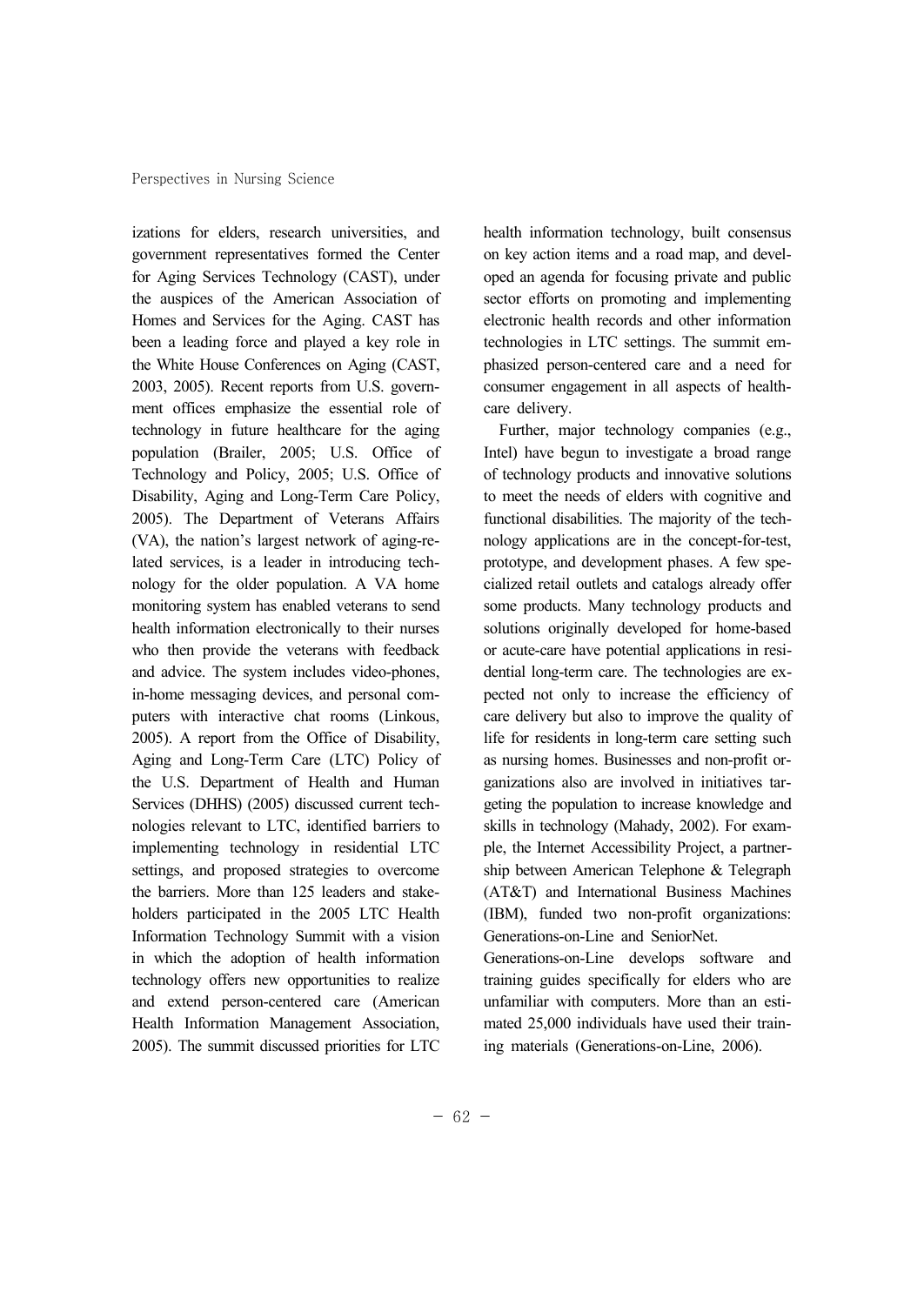izations for elders, research universities, and government representatives formed the Center for Aging Services Technology (CAST), under the auspices of the American Association of Homes and Services for the Aging. CAST has been a leading force and played a key role in the White House Conferences on Aging (CAST, 2003, 2005). Recent reports from U.S. govern ment offices emphasize the essential role of technology in future healthcare for the aging population (Brailer, 2005; U.S. Office of Technology and Policy, 2005; U.S. Office of Disability, Aging and Long-Term Care Policy, 2005). The Department of Veterans Affairs (VA), the nation's largest network of aging-related services, is a leader in introducing tech nology for the older population. A VA home monitoring system has enabled veterans to send health information electronically to their nurses who then provide the veterans with feedback and advice. The system includes video-phones, in-home messaging devices, and personal com puters with interactive chat rooms (Linkous, 2005). A report from the Office of Disability, Aging and Long-Term Care (LTC) Policy of the U.S. Department of Health and Human Services (DHHS) (2005) discussed current tech nologies relevant to LTC, identified barriers to implementing technology in residential LTC settings, and proposed strategies to overcome the barriers. More than 125 leaders and stake holders participated in the 2005 LTC Health Information Technology Summit with a vision in which the adoption of health information technology offers new opportunities to realize and extend person-centered care (American Health Information Management Association, 2005). The summit discussed priorities for LTC

health information technology, built consensus on key action items and a road map, and devel oped an agenda for focusing private and public sector efforts on promoting and implementing electronic health records and other information technologies in LTC settings. The summit em phasized person-centered care and a need for consumer engagement in all aspects of health care delivery.

Further, major technology companies (e.g., Intel) have begun to investigate a broad range of technology products and innovative solutions to meet the needs of elders with cognitive and functional disabilities. The majority of the tech nology applications are in the concept-for-test, prototype, and development phases. A few spe cialized retail outlets and catalogs already offer some products. Many technology products and solutions originally developed for home-based or acute-care have potential applications in resi dential long-term care. The technologies are ex pected not only to increase the efficiency of care delivery but also to improve the quality of life for residents in long-term care setting such as nursing homes. Businesses and non-profit or ganizations also are involved in initiatives tar geting the population to increase knowledge and skills in technology (Mahady, 2002). For exam ple, the Internet Accessibility Project, a partner ship between American Telephone & Telegraph (AT&T) and International Business Machines (IBM), funded two non-profit organizations: Generations-on-Line and SeniorNet.

Generations-on-Line develops software and training guides specifically for elders who are unfamiliar with computers. More than an esti mated 25,000 individuals have used their training materials (Generations-on-Line, 2006).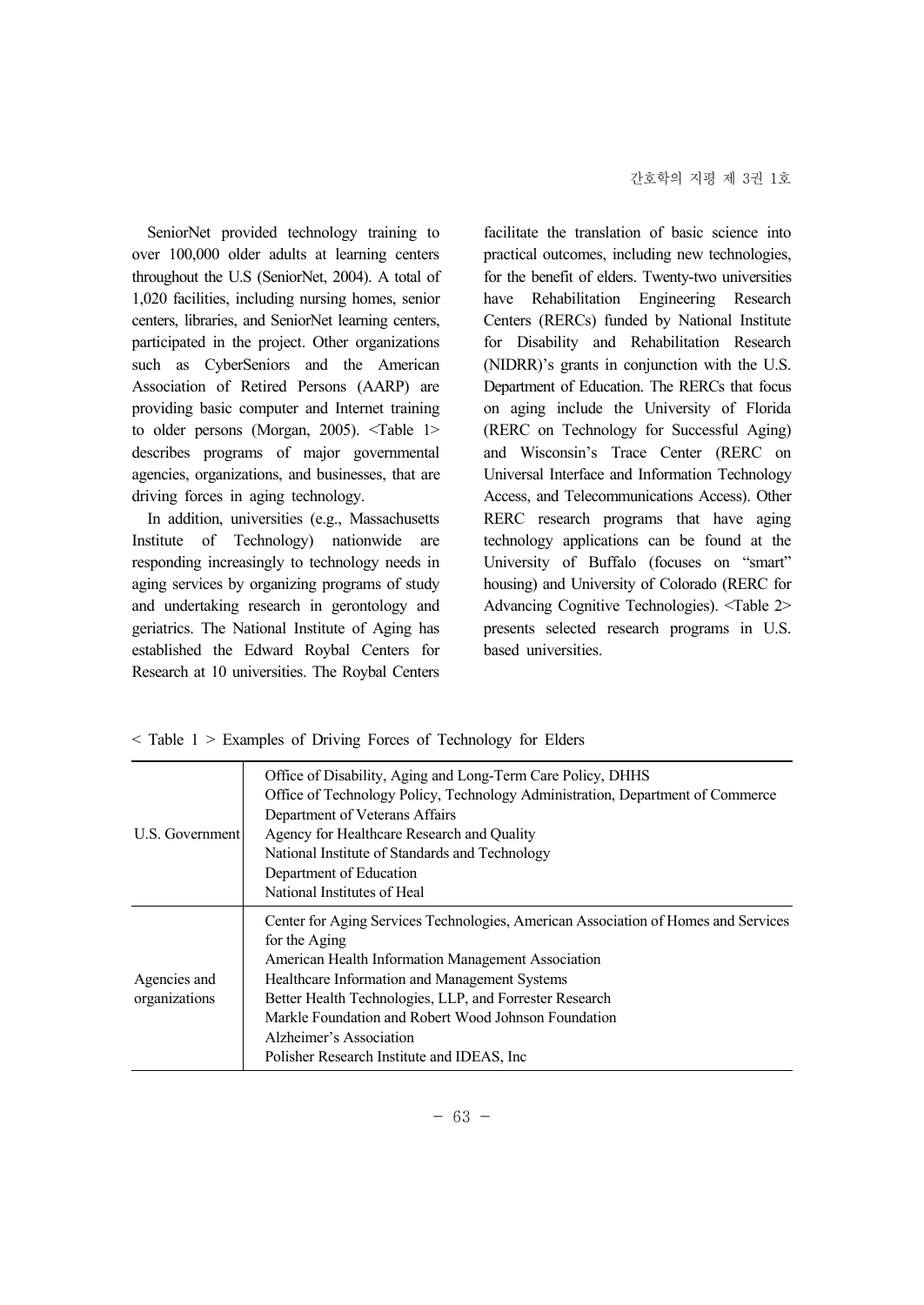SeniorNet provided technology training to over 100,000 older adults at learning centers throughout the U.S (SeniorNet, 2004). A total of 1,020 facilities, including nursing homes, senior centers, libraries, and SeniorNet learning centers, participated in the project. Other organizations such as CyberSeniors and the American Association of Retired Persons (AARP) are providing basic computer and Internet training to older persons (Morgan, 2005). <Table 1> describes programs of major governmental agencies, organizations, and businesses, that are driving forces in aging technology.

In addition, universities (e.g., Massachusetts Institute of Technology) nationwide are responding increasingly to technology needs in aging services by organizing programs of study and undertaking research in gerontology and geriatrics. The National Institute of Aging has established the Edward Roybal Centers for Research at 10 universities. The Roybal Centers facilitate the translation of basic science into practical outcomes, including new technologies, for the benefit of elders. Twenty-two universities have Rehabilitation Engineering Research Centers (RERCs) funded by National Institute for Disability and Rehabilitation Research (NIDRR)'s grants in conjunction with the U.S. Department of Education. The RERCs that focus on aging include the University of Florida (RERC on Technology for Successful Aging) and Wisconsin's Trace Center (RERC on Universal Interface and Information Technology Access, and Telecommunications Access). Other RERC research programs that have aging technology applications can be found at the University of Buffalo (focuses on "smart" housing) and University of Colorado (RERC for Advancing Cognitive Technologies). <Table 2> presents selected research programs in U.S. based universities.

< Table 1 > Examples of Driving Forces of Technology for Elders

| U.S. Government               | Office of Disability, Aging and Long-Term Care Policy, DHHS<br>Office of Technology Policy, Technology Administration, Department of Commerce<br>Department of Veterans Affairs<br>Agency for Healthcare Research and Quality<br>National Institute of Standards and Technology<br>Department of Education<br>National Institutes of Heal                                                               |
|-------------------------------|---------------------------------------------------------------------------------------------------------------------------------------------------------------------------------------------------------------------------------------------------------------------------------------------------------------------------------------------------------------------------------------------------------|
| Agencies and<br>organizations | Center for Aging Services Technologies, American Association of Homes and Services<br>for the Aging<br>American Health Information Management Association<br>Healthcare Information and Management Systems<br>Better Health Technologies, LLP, and Forrester Research<br>Markle Foundation and Robert Wood Johnson Foundation<br>Alzheimer's Association<br>Polisher Research Institute and IDEAS, Inc. |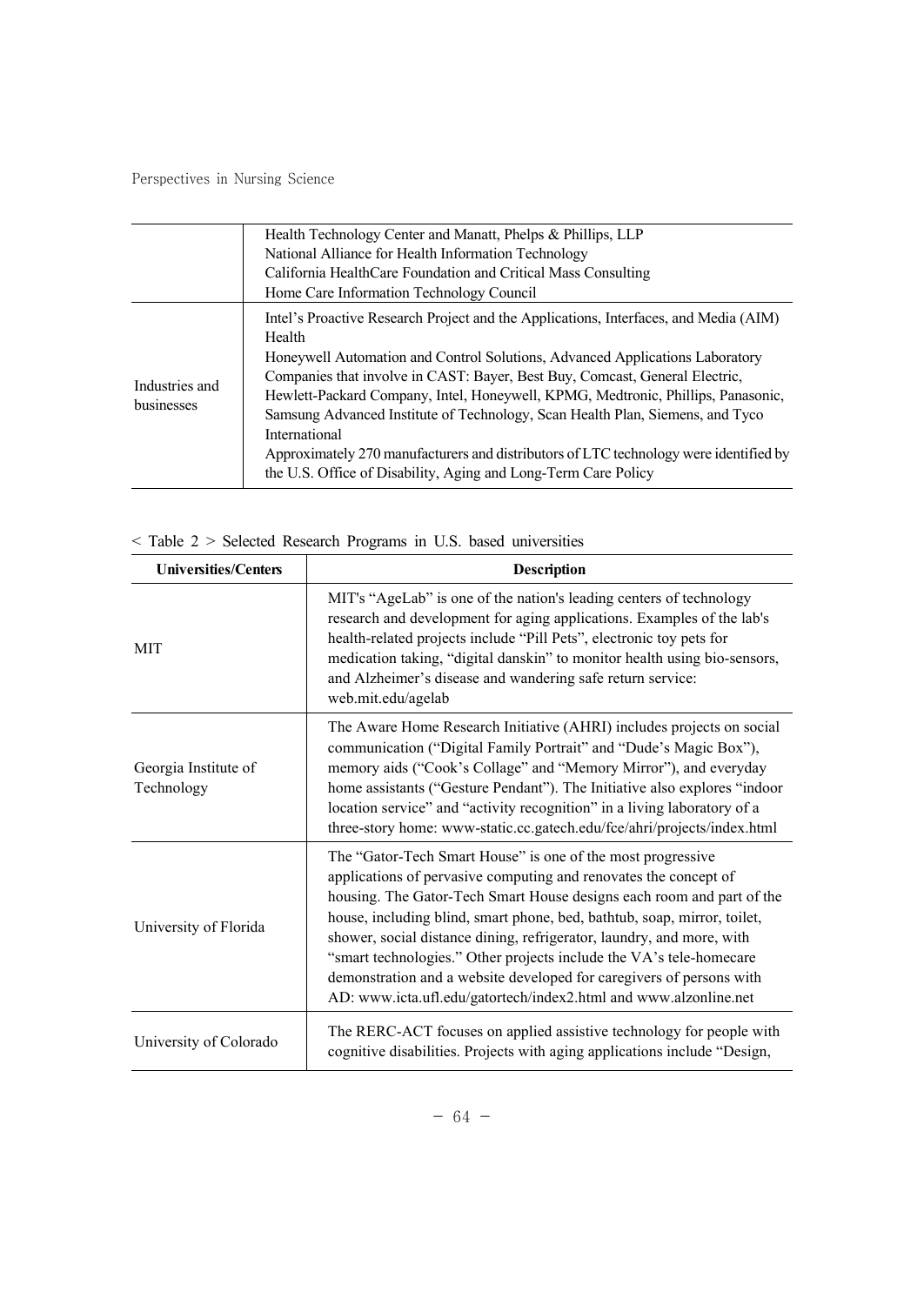|                              | Health Technology Center and Manatt, Phelps & Phillips, LLP<br>National Alliance for Health Information Technology<br>California HealthCare Foundation and Critical Mass Consulting                                                                                                                                                                                                                                                                                                                                                                                                                                                                        |
|------------------------------|------------------------------------------------------------------------------------------------------------------------------------------------------------------------------------------------------------------------------------------------------------------------------------------------------------------------------------------------------------------------------------------------------------------------------------------------------------------------------------------------------------------------------------------------------------------------------------------------------------------------------------------------------------|
| Industries and<br>businesses | Home Care Information Technology Council<br>Intel's Proactive Research Project and the Applications, Interfaces, and Media (AIM)<br>Health<br>Honeywell Automation and Control Solutions, Advanced Applications Laboratory<br>Companies that involve in CAST: Bayer, Best Buy, Comcast, General Electric,<br>Hewlett-Packard Company, Intel, Honeywell, KPMG, Medtronic, Phillips, Panasonic,<br>Samsung Advanced Institute of Technology, Scan Health Plan, Siemens, and Tyco<br>International<br>Approximately 270 manufacturers and distributors of LTC technology were identified by<br>the U.S. Office of Disability, Aging and Long-Term Care Policy |

### < Table 2 > Selected Research Programs in U.S. based universities

| <b>Universities/Centers</b>        | <b>Description</b>                                                                                                                                                                                                                                                                                                                                                                                                                                                                                                                                                               |
|------------------------------------|----------------------------------------------------------------------------------------------------------------------------------------------------------------------------------------------------------------------------------------------------------------------------------------------------------------------------------------------------------------------------------------------------------------------------------------------------------------------------------------------------------------------------------------------------------------------------------|
| <b>MIT</b>                         | MIT's "AgeLab" is one of the nation's leading centers of technology<br>research and development for aging applications. Examples of the lab's<br>health-related projects include "Pill Pets", electronic toy pets for<br>medication taking, "digital danskin" to monitor health using bio-sensors,<br>and Alzheimer's disease and wandering safe return service:<br>web.mit.edu/agelab                                                                                                                                                                                           |
| Georgia Institute of<br>Technology | The Aware Home Research Initiative (AHRI) includes projects on social<br>communication ("Digital Family Portrait" and "Dude's Magic Box"),<br>memory aids ("Cook's Collage" and "Memory Mirror"), and everyday<br>home assistants ("Gesture Pendant"). The Initiative also explores "indoor<br>location service" and "activity recognition" in a living laboratory of a<br>three-story home: www-static.cc.gatech.edu/fce/ahri/projects/index.html                                                                                                                               |
| University of Florida              | The "Gator-Tech Smart House" is one of the most progressive<br>applications of pervasive computing and renovates the concept of<br>housing. The Gator-Tech Smart House designs each room and part of the<br>house, including blind, smart phone, bed, bathtub, soap, mirror, toilet,<br>shower, social distance dining, refrigerator, laundry, and more, with<br>"smart technologies." Other projects include the VA's tele-homecare<br>demonstration and a website developed for caregivers of persons with<br>AD: www.icta.ufl.edu/gatortech/index2.html and www.alzonline.net |
| University of Colorado             | The RERC-ACT focuses on applied assistive technology for people with<br>cognitive disabilities. Projects with aging applications include "Design,                                                                                                                                                                                                                                                                                                                                                                                                                                |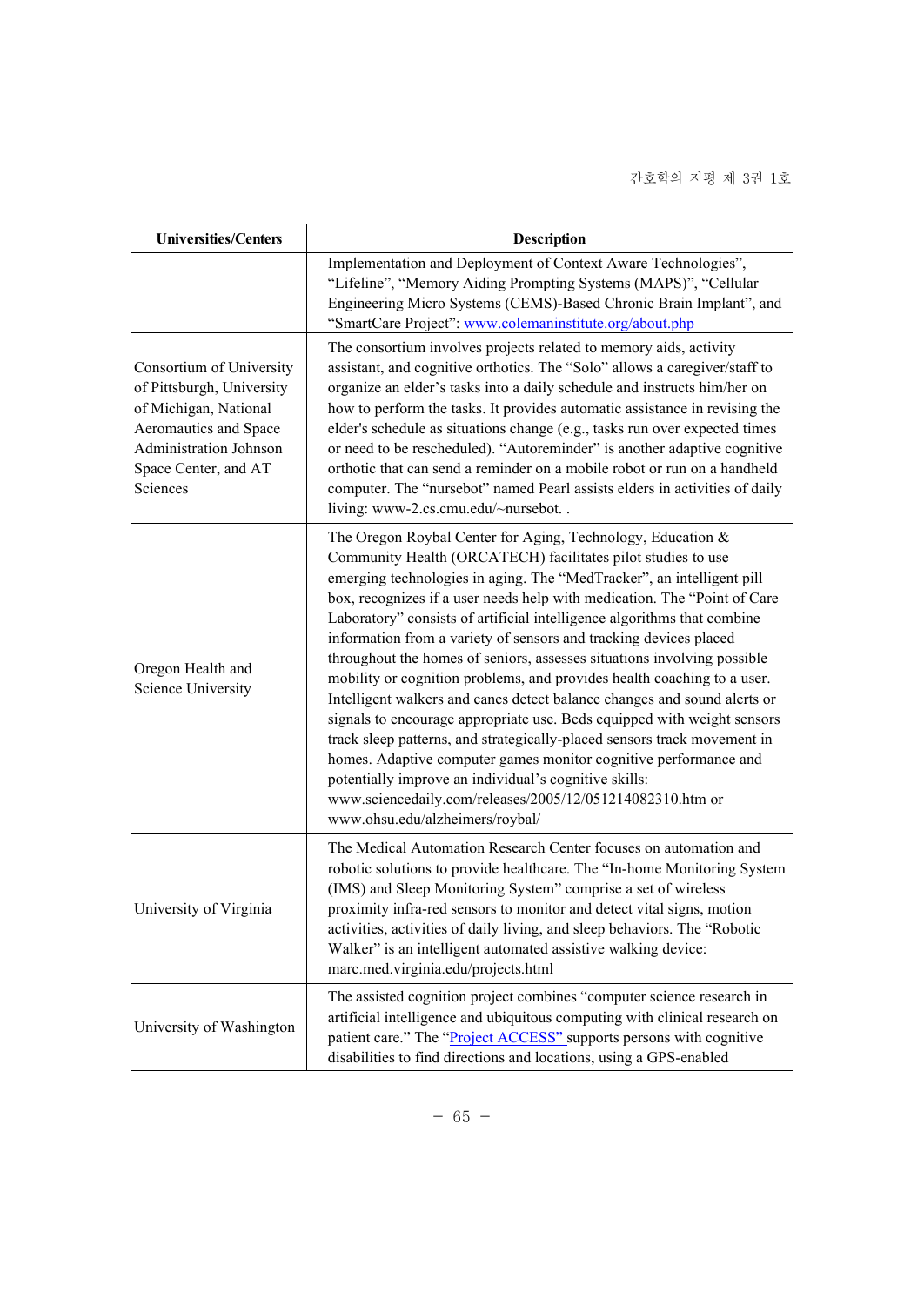| <b>Universities/Centers</b>                                                                                                                                           | Description                                                                                                                                                                                                                                                                                                                                                                                                                                                                                                                                                                                                                                                                                                                                                                                                                                                                                                                                                                                                                                            |
|-----------------------------------------------------------------------------------------------------------------------------------------------------------------------|--------------------------------------------------------------------------------------------------------------------------------------------------------------------------------------------------------------------------------------------------------------------------------------------------------------------------------------------------------------------------------------------------------------------------------------------------------------------------------------------------------------------------------------------------------------------------------------------------------------------------------------------------------------------------------------------------------------------------------------------------------------------------------------------------------------------------------------------------------------------------------------------------------------------------------------------------------------------------------------------------------------------------------------------------------|
|                                                                                                                                                                       | Implementation and Deployment of Context Aware Technologies",<br>"Lifeline", "Memory Aiding Prompting Systems (MAPS)", "Cellular<br>Engineering Micro Systems (CEMS)-Based Chronic Brain Implant", and<br>"SmartCare Project": www.colemaninstitute.org/about.php                                                                                                                                                                                                                                                                                                                                                                                                                                                                                                                                                                                                                                                                                                                                                                                      |
| Consortium of University<br>of Pittsburgh, University<br>of Michigan, National<br>Aeromautics and Space<br>Administration Johnson<br>Space Center, and AT<br>Sciences | The consortium involves projects related to memory aids, activity<br>assistant, and cognitive orthotics. The "Solo" allows a caregiver/staff to<br>organize an elder's tasks into a daily schedule and instructs him/her on<br>how to perform the tasks. It provides automatic assistance in revising the<br>elder's schedule as situations change (e.g., tasks run over expected times<br>or need to be rescheduled). "Autoreminder" is another adaptive cognitive<br>orthotic that can send a reminder on a mobile robot or run on a handheld<br>computer. The "nursebot" named Pearl assists elders in activities of daily<br>living: www-2.cs.cmu.edu/~nursebot                                                                                                                                                                                                                                                                                                                                                                                    |
| Oregon Health and<br><b>Science University</b>                                                                                                                        | The Oregon Roybal Center for Aging, Technology, Education &<br>Community Health (ORCATECH) facilitates pilot studies to use<br>emerging technologies in aging. The "MedTracker", an intelligent pill<br>box, recognizes if a user needs help with medication. The "Point of Care<br>Laboratory" consists of artificial intelligence algorithms that combine<br>information from a variety of sensors and tracking devices placed<br>throughout the homes of seniors, assesses situations involving possible<br>mobility or cognition problems, and provides health coaching to a user.<br>Intelligent walkers and canes detect balance changes and sound alerts or<br>signals to encourage appropriate use. Beds equipped with weight sensors<br>track sleep patterns, and strategically-placed sensors track movement in<br>homes. Adaptive computer games monitor cognitive performance and<br>potentially improve an individual's cognitive skills:<br>www.sciencedaily.com/releases/2005/12/051214082310.htm or<br>www.ohsu.edu/alzheimers/roybal/ |
| University of Virginia                                                                                                                                                | The Medical Automation Research Center focuses on automation and<br>robotic solutions to provide healthcare. The "In-home Monitoring System<br>(IMS) and Sleep Monitoring System" comprise a set of wireless<br>proximity infra-red sensors to monitor and detect vital signs, motion<br>activities, activities of daily living, and sleep behaviors. The "Robotic<br>Walker" is an intelligent automated assistive walking device:<br>marc.med.virginia.edu/projects.html                                                                                                                                                                                                                                                                                                                                                                                                                                                                                                                                                                             |
| University of Washington                                                                                                                                              | The assisted cognition project combines "computer science research in<br>artificial intelligence and ubiquitous computing with clinical research on<br>patient care." The "Project ACCESS" supports persons with cognitive<br>disabilities to find directions and locations, using a GPS-enabled                                                                                                                                                                                                                                                                                                                                                                                                                                                                                                                                                                                                                                                                                                                                                       |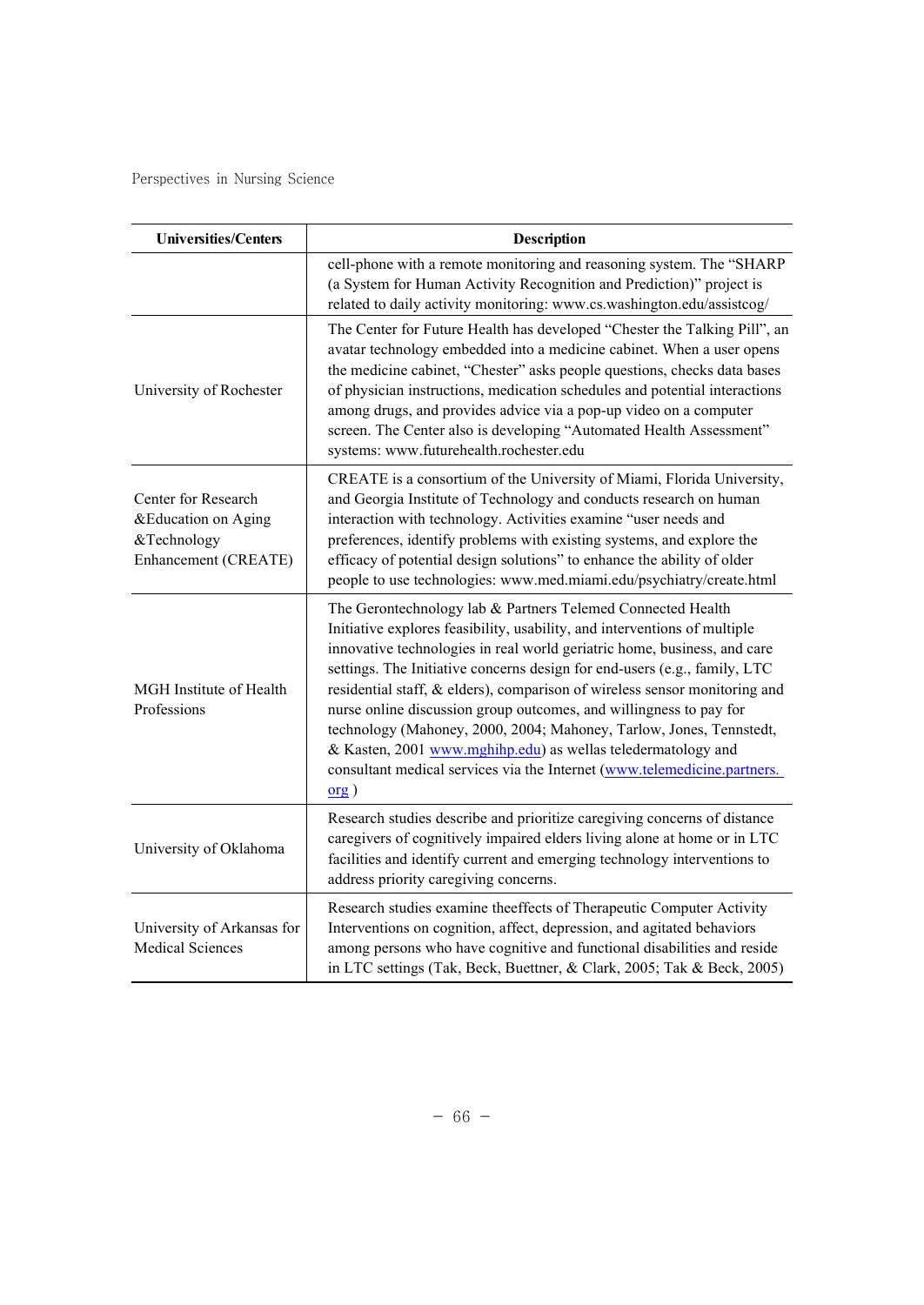| <b>Universities/Centers</b>                                                       | <b>Description</b>                                                                                                                                                                                                                                                                                                                                                                                                                                                                                                                                                                                                                                                               |
|-----------------------------------------------------------------------------------|----------------------------------------------------------------------------------------------------------------------------------------------------------------------------------------------------------------------------------------------------------------------------------------------------------------------------------------------------------------------------------------------------------------------------------------------------------------------------------------------------------------------------------------------------------------------------------------------------------------------------------------------------------------------------------|
|                                                                                   | cell-phone with a remote monitoring and reasoning system. The "SHARP<br>(a System for Human Activity Recognition and Prediction)" project is<br>related to daily activity monitoring: www.cs.washington.edu/assistcog/                                                                                                                                                                                                                                                                                                                                                                                                                                                           |
| University of Rochester                                                           | The Center for Future Health has developed "Chester the Talking Pill", an<br>avatar technology embedded into a medicine cabinet. When a user opens<br>the medicine cabinet, "Chester" asks people questions, checks data bases<br>of physician instructions, medication schedules and potential interactions<br>among drugs, and provides advice via a pop-up video on a computer<br>screen. The Center also is developing "Automated Health Assessment"<br>systems: www.futurehealth.rochester.edu                                                                                                                                                                              |
| Center for Research<br>&Education on Aging<br>&Technology<br>Enhancement (CREATE) | CREATE is a consortium of the University of Miami, Florida University,<br>and Georgia Institute of Technology and conducts research on human<br>interaction with technology. Activities examine "user needs and<br>preferences, identify problems with existing systems, and explore the<br>efficacy of potential design solutions" to enhance the ability of older<br>people to use technologies: www.med.miami.edu/psychiatry/create.html                                                                                                                                                                                                                                      |
| MGH Institute of Health<br>Professions                                            | The Gerontechnology lab & Partners Telemed Connected Health<br>Initiative explores feasibility, usability, and interventions of multiple<br>innovative technologies in real world geriatric home, business, and care<br>settings. The Initiative concerns design for end-users (e.g., family, LTC<br>residential staff, & elders), comparison of wireless sensor monitoring and<br>nurse online discussion group outcomes, and willingness to pay for<br>technology (Mahoney, 2000, 2004; Mahoney, Tarlow, Jones, Tennstedt,<br>& Kasten, 2001 www.mghihp.edu) as wellas teledermatology and<br>consultant medical services via the Internet (www.telemedicine.partners.<br>org) |
| University of Oklahoma                                                            | Research studies describe and prioritize caregiving concerns of distance<br>caregivers of cognitively impaired elders living alone at home or in LTC<br>facilities and identify current and emerging technology interventions to<br>address priority caregiving concerns.                                                                                                                                                                                                                                                                                                                                                                                                        |
| University of Arkansas for<br><b>Medical Sciences</b>                             | Research studies examine theeffects of Therapeutic Computer Activity<br>Interventions on cognition, affect, depression, and agitated behaviors<br>among persons who have cognitive and functional disabilities and reside<br>in LTC settings (Tak, Beck, Buettner, & Clark, 2005; Tak & Beck, 2005)                                                                                                                                                                                                                                                                                                                                                                              |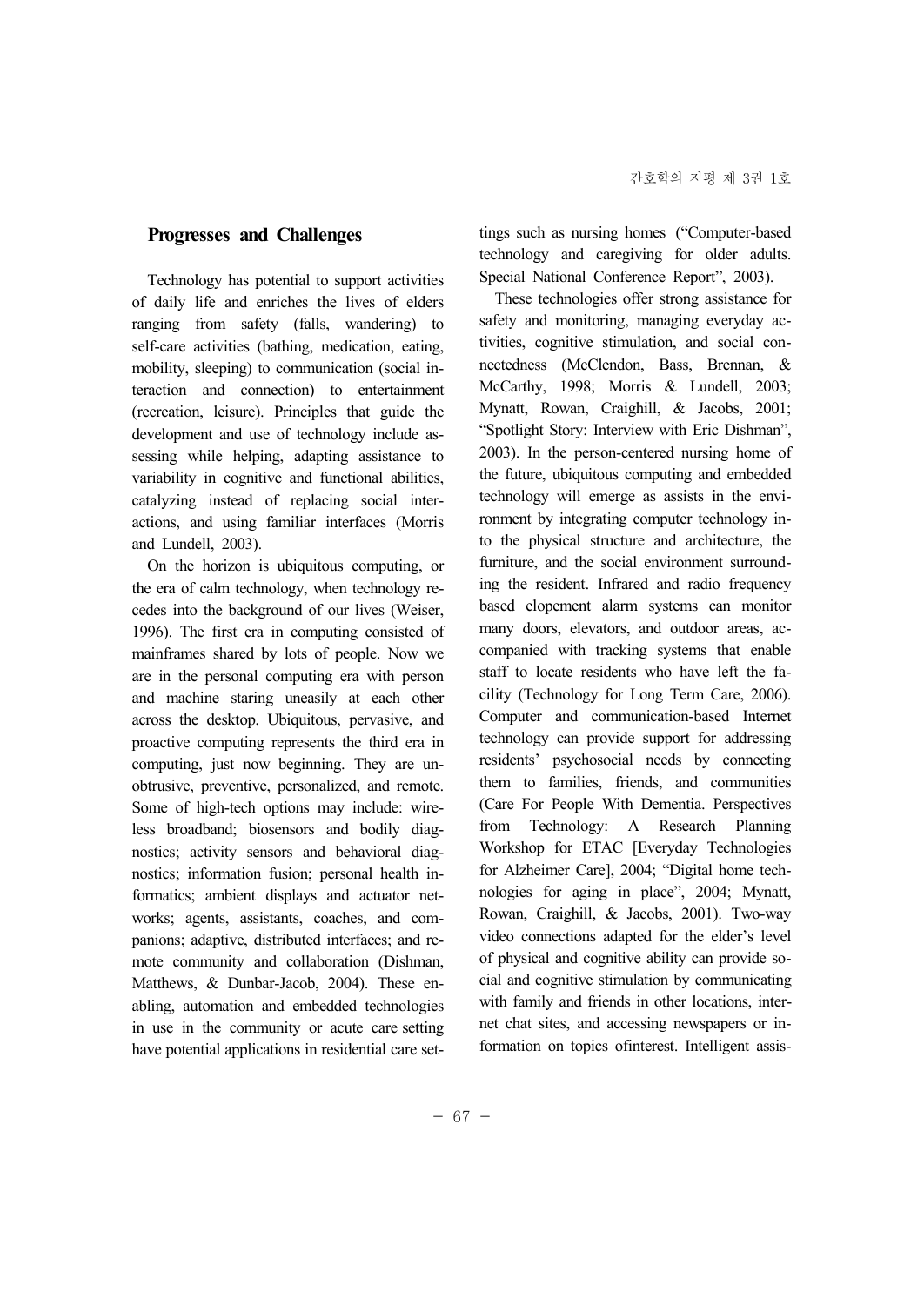#### **Progresses and Challenges**

Technology has potential to support activities of daily life and enriches the lives of elders ranging from safety (falls, wandering) to self-care activities (bathing, medication, eating, mobility, sleeping) to communication (social interaction and connection) to entertainment (recreation, leisure). Principles that guide the Mynatt, Rowan, Craighill, & Jacobs, 2001; development and use of technology include as sessing while helping, adapting assistance to variability in cognitive and functional abilities, catalyzing instead of replacing social inter actions, and using familiar interfaces (Morris and Lundell, 2003).

On the horizon is ubiquitous computing, or the era of calm technology, when technology re cedes into the background of our lives (Weiser, 1996). The first era in computing consisted of mainframes shared by lots of people. Now we are in the personal computing era with person and machine staring uneasily at each other across the desktop. Ubiquitous, pervasive, and proactive computing represents the third era in computing, just now beginning. They are un obtrusive, preventive, personalized, and remote. Some of high-tech options may include: wireless broadband; biosensors and bodily diag nostics; activity sensors and behavioral diag nostics; information fusion; personal health informatics; ambient displays and actuator net works; agents, assistants, coaches, and com panions; adaptive, distributed interfaces; and re mote community and collaboration (Dishman, Matthews, & Dunbar-Jacob, 2004). These en abling, automation and embedded technologies in use in the community or acute care setting have potential applications in residential care set-

tings such as nursing homes ("Computer-based technology and caregiving for older adults. Special National Conference Report", 2003).

These technologies offer strong assistance for safety and monitoring, managing everyday activities, cognitive stimulation, and social con nectedness (McClendon, Bass, Brennan, & McCarthy, 1998; Morris & Lundell, 2003; "Spotlight Story: Interview with Eric Dishman", 2003). In the person-centered nursing home of the future, ubiquitous computing and embedded technology will emerge as assists in the environment by integrating computer technology into the physical structure and architecture, the furniture, and the social environment surrounding the resident. Infrared and radio frequency based elopement alarm systems can monitor many doors, elevators, and outdoor areas, ac companied with tracking systems that enable staff to locate residents who have left the fa cility (Technology for Long Term Care, 2006). Computer and communication-based Internet technology can provide support for addressing residents' psychosocial needs by connecting them to families, friends, and communities (Care For People With Dementia. Perspectives Technology: A Research Planning Workshop for ETAC [Everyday Technologies for Alzheimer Care], 2004; "Digital home tech nologies for aging in place", 2004; Mynatt, Rowan, Craighill, & Jacobs, 2001). Two-way video connections adapted for the elder's level of physical and cognitive ability can provide so cial and cognitive stimulation by communicating with family and friends in other locations, inter net chat sites, and accessing newspapers or information on topics ofinterest. Intelligent assis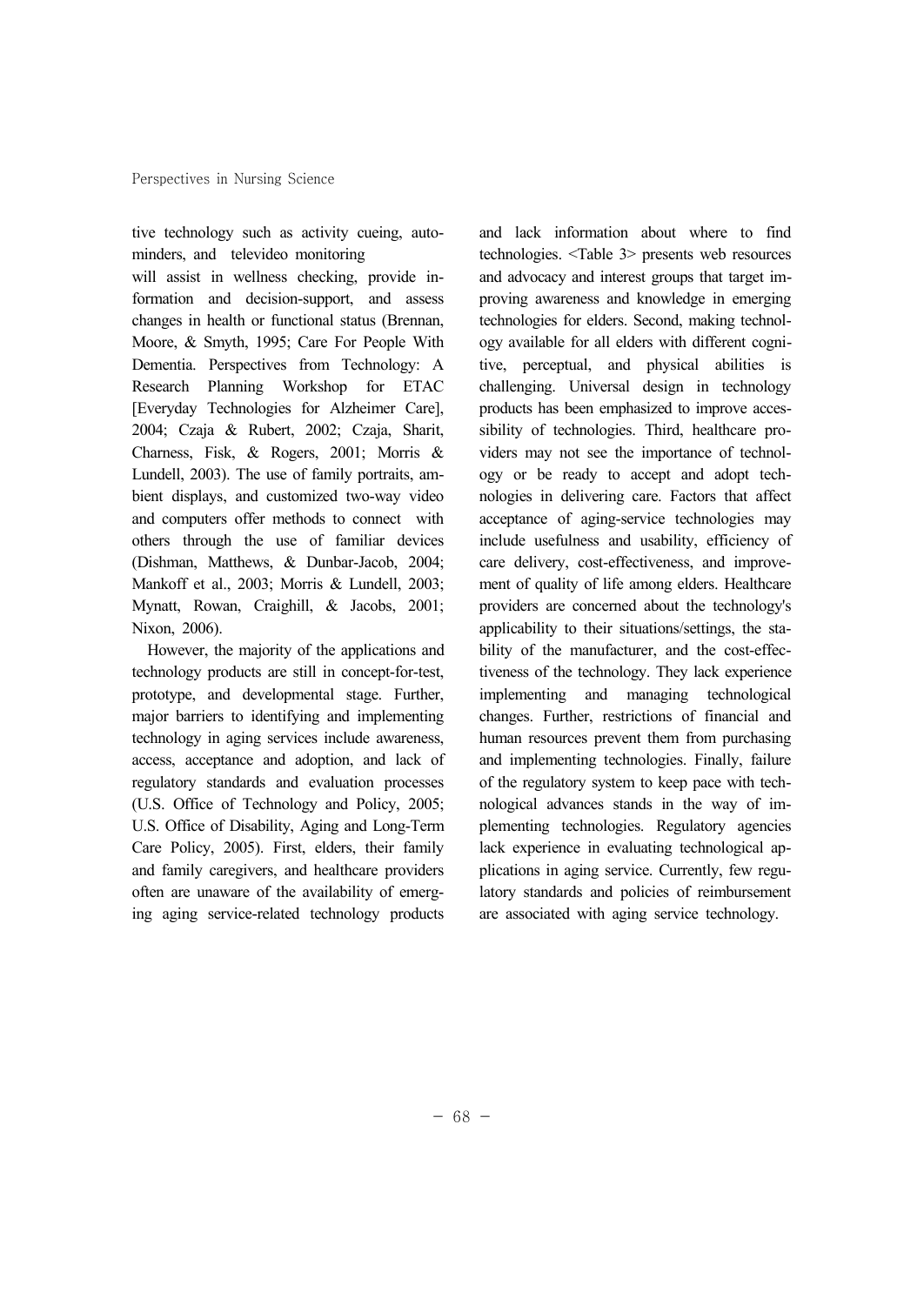tive technology such as activity cueing, auto minders, and televideo monitoring

will assist in wellness checking, provide information and decision-support, and assess changes in health or functional status (Brennan, Moore, & Smyth, 1995; Care For People With Dementia. Perspectives from Technology: A Research Planning Workshop for ETAC [Everyday Technologies for Alzheimer Care], 2004; Czaja & Rubert, 2002; Czaja, Sharit, Charness, Fisk, & Rogers, 2001; Morris & Lundell, 2003). The use of family portraits, am bient displays, and customized two-way video and computers offer methods to connect with others through the use of familiar devices (Dishman, Matthews, & Dunbar-Jacob, 2004; Mankoff et al., 2003; Morris & Lundell, 2003; Mynatt, Rowan, Craighill, & Jacobs, 2001; Nixon, 2006).

However, the majority of the applications and technology products are still in concept-for-test, prototype, and developmental stage. Further, major barriers to identifying and implementing technology in aging services include awareness, access, acceptance and adoption, and lack of regulatory standards and evaluation processes (U.S. Office of Technology and Policy, 2005; U.S. Office of Disability, Aging and Long-Term Care Policy, 2005). First, elders, their family and family caregivers, and healthcare providers often are unaware of the availability of emerging aging service-related technology products and lack information about where to find technologies. <Table 3> presents web resources and advocacy and interest groups that target im proving awareness and knowledge in emerging technologies for elders. Second, making technol ogy available for all elders with different cognitive, perceptual, and physical abilities is challenging. Universal design in technology products has been emphasized to improve acces sibility of technologies. Third, healthcare pro viders may not see the importance of technol ogy or be ready to accept and adopt tech nologies in delivering care. Factors that affect acceptance of aging-service technologies may include usefulness and usability, efficiency of care delivery, cost-effectiveness, and improve ment of quality of life among elders. Healthcare providers are concerned about the technology's applicability to their situations/settings, the sta bility of the manufacturer, and the cost-effectiveness of the technology. They lack experience implementing and managing technological changes. Further, restrictions of financial and human resources prevent them from purchasing and implementing technologies. Finally, failure of the regulatory system to keep pace with tech nological advances stands in the way of im plementing technologies. Regulatory agencies lack experience in evaluating technological ap plications in aging service. Currently, few regulatory standards and policies of reimbursement are associated with aging service technology.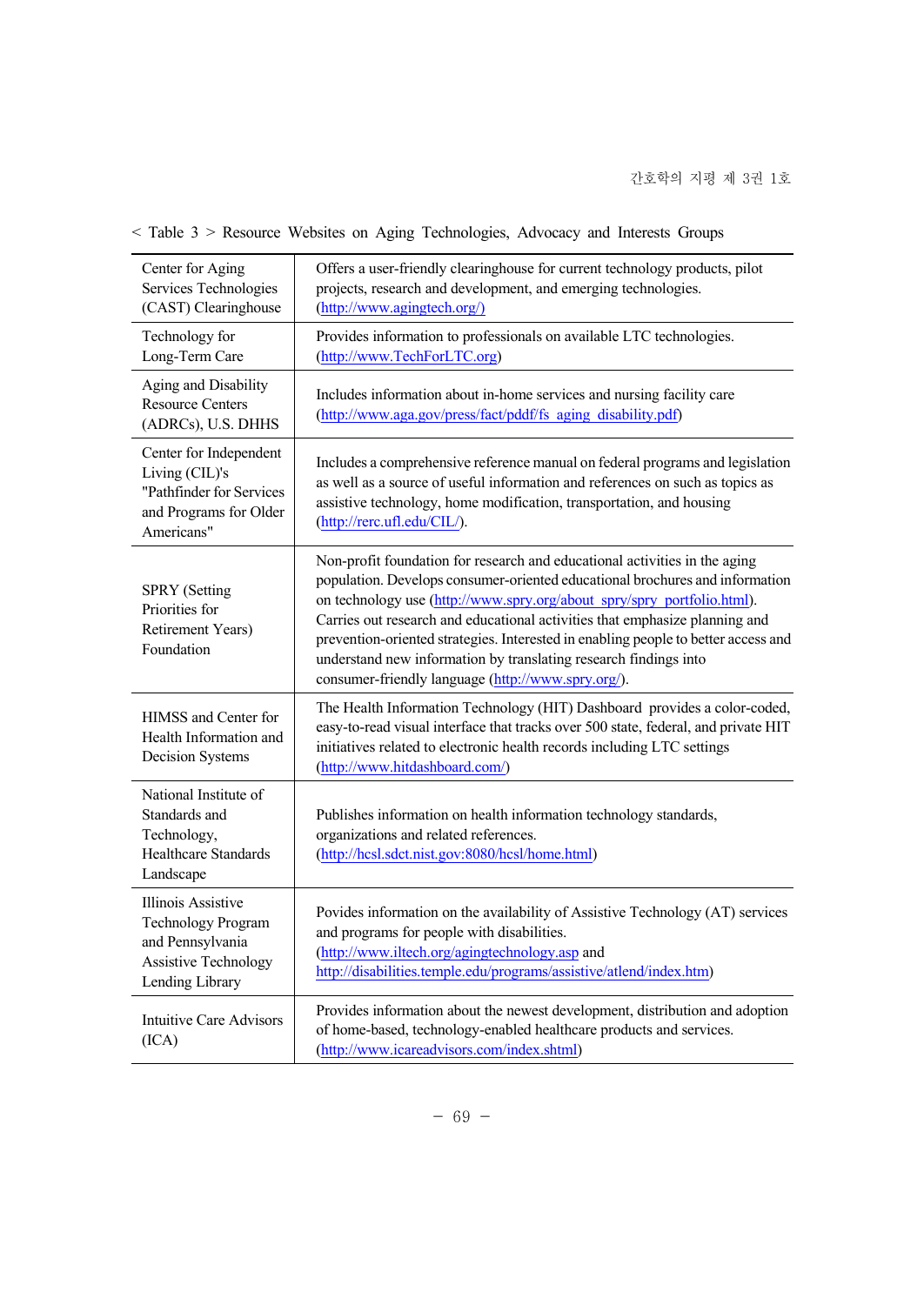| Center for Aging<br>Services Technologies<br>(CAST) Clearinghouse                                                            | Offers a user-friendly clearinghouse for current technology products, pilot<br>projects, research and development, and emerging technologies.<br>(http://www.agingtech.org/)                                                                                                                                                                                                                                                                                                                                                         |
|------------------------------------------------------------------------------------------------------------------------------|--------------------------------------------------------------------------------------------------------------------------------------------------------------------------------------------------------------------------------------------------------------------------------------------------------------------------------------------------------------------------------------------------------------------------------------------------------------------------------------------------------------------------------------|
| Technology for<br>Long-Term Care                                                                                             | Provides information to professionals on available LTC technologies.<br>(http://www.TechForLTC.org)                                                                                                                                                                                                                                                                                                                                                                                                                                  |
| Aging and Disability<br><b>Resource Centers</b><br>(ADRCs), U.S. DHHS                                                        | Includes information about in-home services and nursing facility care<br>(http://www.aga.gov/press/fact/pddf/fs aging disability.pdf)                                                                                                                                                                                                                                                                                                                                                                                                |
| Center for Independent<br>Living (CIL)'s<br>"Pathfinder for Services<br>and Programs for Older<br>Americans"                 | Includes a comprehensive reference manual on federal programs and legislation<br>as well as a source of useful information and references on such as topics as<br>assistive technology, home modification, transportation, and housing<br>(http://rerc.ufl.edu/CIL/).                                                                                                                                                                                                                                                                |
| <b>SPRY</b> (Setting<br>Priorities for<br>Retirement Years)<br>Foundation                                                    | Non-profit foundation for research and educational activities in the aging<br>population. Develops consumer-oriented educational brochures and information<br>on technology use (http://www.spry.org/about_spry/spry_portfolio.html).<br>Carries out research and educational activities that emphasize planning and<br>prevention-oriented strategies. Interested in enabling people to better access and<br>understand new information by translating research findings into<br>consumer-friendly language (http://www.spry.org/). |
| HIMSS and Center for<br>Health Information and<br><b>Decision Systems</b>                                                    | The Health Information Technology (HIT) Dashboard provides a color-coded,<br>easy-to-read visual interface that tracks over 500 state, federal, and private HIT<br>initiatives related to electronic health records including LTC settings<br>(http://www.hitdashboard.com/)                                                                                                                                                                                                                                                         |
| National Institute of<br>Standards and<br>Technology,<br><b>Healthcare Standards</b><br>Landscape                            | Publishes information on health information technology standards,<br>organizations and related references.<br>(http://hcsl.sdct.nist.gov:8080/hcsl/home.html)                                                                                                                                                                                                                                                                                                                                                                        |
| <b>Illinois Assistive</b><br><b>Technology Program</b><br>and Pennsylvania<br><b>Assistive Technology</b><br>Lending Library | Povides information on the availability of Assistive Technology (AT) services<br>and programs for people with disabilities.<br>(http://www.iltech.org/agingtechnology.asp and<br>http://disabilities.temple.edu/programs/assistive/atlend/index.htm)                                                                                                                                                                                                                                                                                 |
| <b>Intuitive Care Advisors</b><br>(ICA)                                                                                      | Provides information about the newest development, distribution and adoption<br>of home-based, technology-enabled healthcare products and services.<br>(http://www.icareadvisors.com/index.shtml)                                                                                                                                                                                                                                                                                                                                    |

## < Table 3 > Resource Websites on Aging Technologies, Advocacy and Interests Groups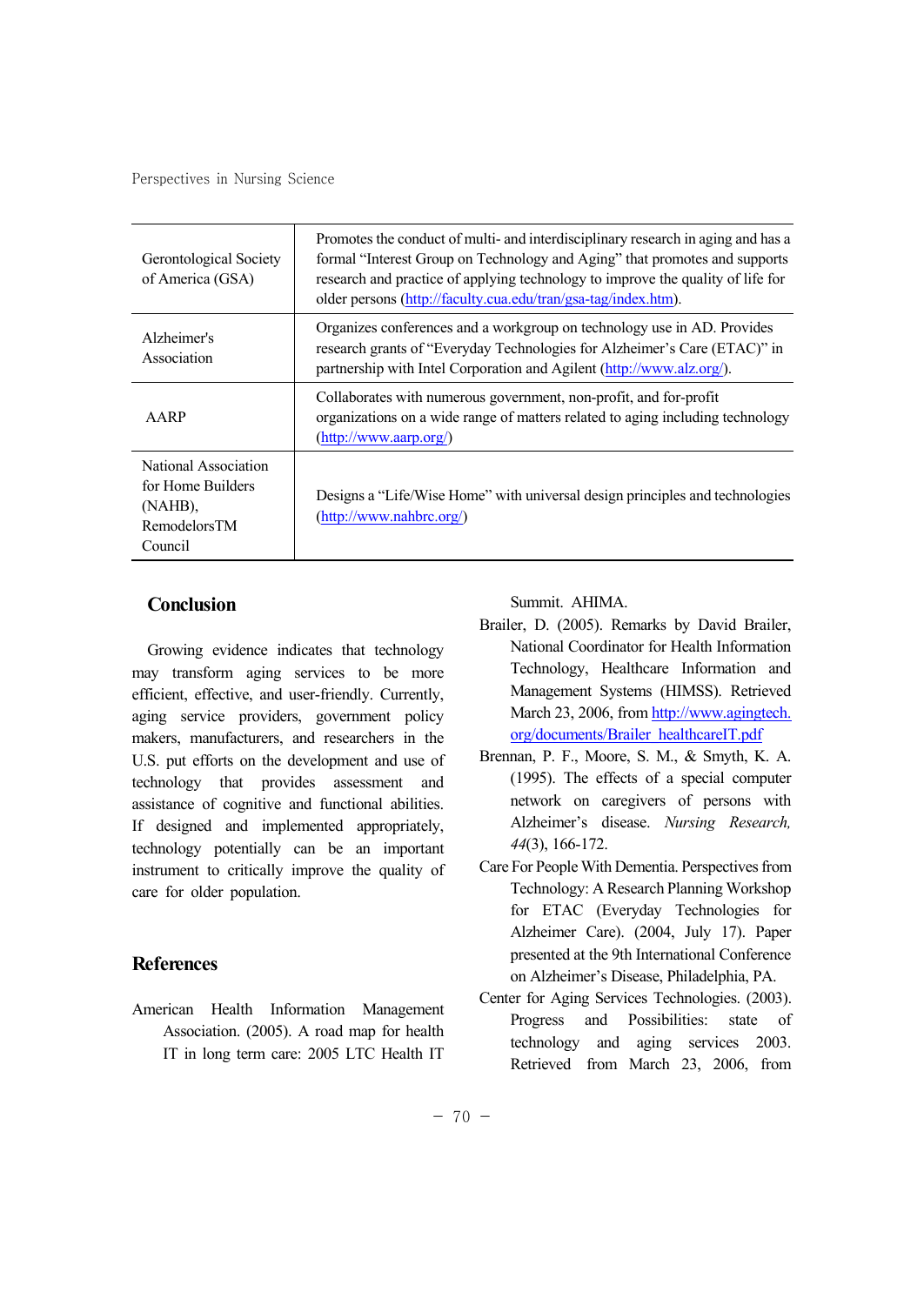| Gerontological Society<br>of America (GSA)                                      | Promotes the conduct of multi- and interdisciplinary research in aging and has a<br>formal "Interest Group on Technology and Aging" that promotes and supports<br>research and practice of applying technology to improve the quality of life for<br>older persons (http://faculty.cua.edu/tran/gsa-tag/index.htm). |
|---------------------------------------------------------------------------------|---------------------------------------------------------------------------------------------------------------------------------------------------------------------------------------------------------------------------------------------------------------------------------------------------------------------|
| Alzheimer's<br>Association                                                      | Organizes conferences and a workgroup on technology use in AD. Provides<br>research grants of "Everyday Technologies for Alzheimer's Care (ETAC)" in<br>partnership with Intel Corporation and Agilent (http://www.alz.org/).                                                                                       |
| AARP                                                                            | Collaborates with numerous government, non-profit, and for-profit<br>organizations on a wide range of matters related to aging including technology<br>(http://www.aarp.org/)                                                                                                                                       |
| National Association<br>for Home Builders<br>(NAHB),<br>RemodelorsTM<br>Council | Designs a "Life/Wise Home" with universal design principles and technologies<br>(http://www.nahbrc.org/)                                                                                                                                                                                                            |

#### **Conclusion**

Growing evidence indicates that technology may transform aging services to be more efficient, effective, and user-friendly. Currently, aging service providers, government policy makers, manufacturers, and researchers in the U.S. put efforts on the development and use of technology that provides assessment and assistance of cognitive and functional abilities. If designed and implemented appropriately, technology potentially can be an important instrument to critically improve the quality of care for older population.

#### **References**

American Health Information Management Association. (2005). A road map for health IT in long term care: 2005 LTC Health IT

Summit. AHIMA.

- Brailer, D. (2005). Remarks by David Brailer, National Coordinator for Health Information Technology, Healthcare Information and Management Systems (HIMSS). Retrieved March 23, 2006, from http://www.agingtech. org/documents/Brailer\_healthcareIT.pdf
- Brennan, P. F., Moore, S. M., & Smyth, K. A. (1995). The effects of a special computer network on caregivers of persons with Alzheimer's disease. *Nursing Research, 44*(3), 166-172.
- Care For People With Dementia. Perspectives from Technology: A Research Planning Workshop for ETAC (Everyday Technologies for Alzheimer Care). (2004, July 17). Paper presented at the 9th International Conference on Alzheimer's Disease, Philadelphia, PA.
- Center for Aging Services Technologies. (2003). Progress and Possibilities: state of technology and aging services 2003. Retrieved from March 23, 2006, from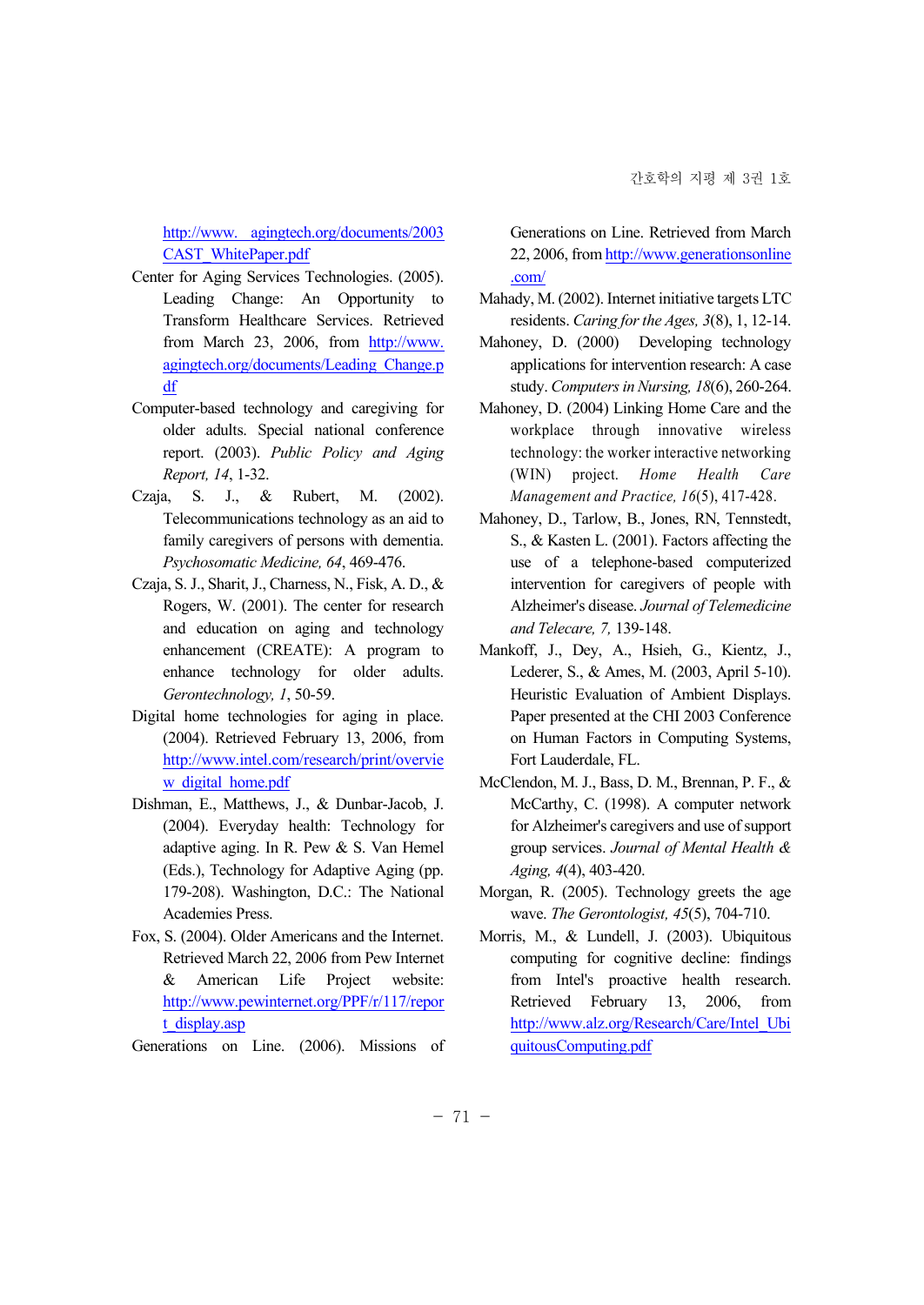http://www. agingtech.org/documents/2003 CAST\_WhitePaper.pdf

- Center for Aging Services Technologies. (2005). Leading Change: An Opportunity to Transform Healthcare Services. Retrieved from March 23, 2006, from http://www. agingtech.org/documents/Leading\_Change.p df
- Computer-based technology and caregiving for older adults. Special national conference report. (2003). *Public Policy and Aging Report, 14*, 1-32.
- Czaja, S. J., & Rubert, M. (2002). Telecommunications technology as an aid to family caregivers of persons with dementia. *Psychosomatic Medicine, 64*, 469-476.
- Czaja, S. J., Sharit, J., Charness, N., Fisk, A. D., & Rogers, W. (2001). The center for research and education on aging and technology enhancement (CREATE): A program to enhance technology for older adults. *Gerontechnology, 1*, 50-59.
- Digital home technologies for aging in place. (2004). Retrieved February 13, 2006, from http://www.intel.com/research/print/overvie w digital home.pdf
- Dishman, E., Matthews, J., & Dunbar-Jacob, J. (2004). Everyday health: Technology for adaptive aging. In R. Pew & S. Van Hemel (Eds.), Technology for Adaptive Aging (pp. 179-208). Washington, D.C.: The National Academies Press.
- Fox, S. (2004). Older Americans and the Internet. Retrieved March 22, 2006 from Pew Internet & American Life Project website: http://www.pewinternet.org/PPF/r/117/repor t\_display.asp

Generations on Line. (2006). Missions of

Generations on Line. Retrieved from March 22, 2006, from http://www.generationsonline .com/

- Mahady, M. (2002). Internet initiative targets LTC residents. *Caring for the Ages, 3*(8), 1, 12-14.
- Mahoney, D. (2000) Developing technology applications for intervention research: A case study. *Computers in Nursing, 18*(6), 260-264.
- Mahoney, D. (2004) Linking Home Care and the workplace through innovative wireless technology: the worker interactive networking (WIN) project. *Home Health Care Management and Practice, 16*(5), 417-428.
- Mahoney, D., Tarlow, B., Jones, RN, Tennstedt, S., & Kasten L. (2001). Factors affecting the use of a telephone-based computerized intervention for caregivers of people with Alzheimer's disease. *Journal of Telemedicine and Telecare, 7,* 139-148.
- Mankoff, J., Dey, A., Hsieh, G., Kientz, J., Lederer, S., & Ames, M. (2003, April 5-10). Heuristic Evaluation of Ambient Displays. Paper presented at the CHI 2003 Conference on Human Factors in Computing Systems, Fort Lauderdale, FL.
- McClendon, M. J., Bass, D. M., Brennan, P. F., & McCarthy, C. (1998). A computer network for Alzheimer's caregivers and use of support group services. *Journal of Mental Health & Aging, 4*(4), 403-420.
- Morgan, R. (2005). Technology greets the age wave. *The Gerontologist, 45*(5), 704-710.
- Morris, M., & Lundell, J. (2003). Ubiquitous computing for cognitive decline: findings from Intel's proactive health research. Retrieved February 13, 2006, from http://www.alz.org/Research/Care/Intel\_Ubi quitousComputing.pdf